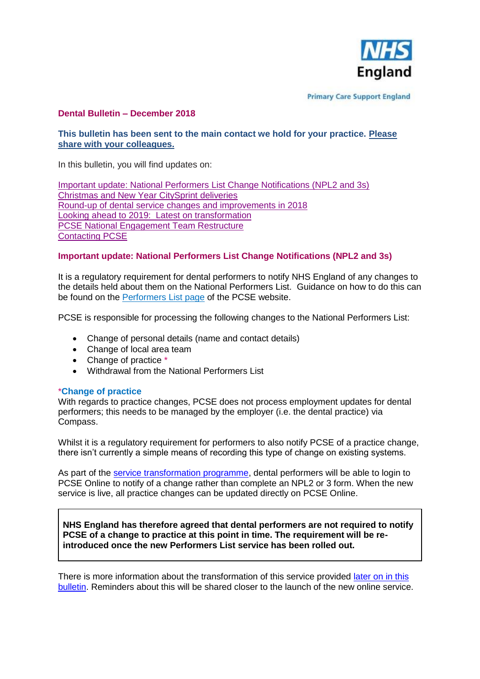

**Primary Care Support England** 

# **Dental Bulletin – December 2018**

# **This bulletin has been sent to the main contact we hold for your practice. Please share with your colleagues.**

In this bulletin, you will find updates on:

[Important update: National Performers List Change Notifications \(NPL2 and 3s\)](#page-0-0) [Christmas and New Year CitySprint deliveries](#page-1-0) [Round-up of dental service changes and improvements in 2018](#page-1-1) Looking ahead to 2019: [Latest on transformation](#page-2-0) [PCSE National Engagement Team Restructure](#page-2-1) [Contacting PCSE](#page-2-2)

## <span id="page-0-0"></span>**Important update: National Performers List Change Notifications (NPL2 and 3s)**

It is a regulatory requirement for dental performers to notify NHS England of any changes to the details held about them on the National Performers List. Guidance on how to do this can be found on the [Performers List page](https://pcse.england.nhs.uk/services/performers-lists/) of the PCSE website.

PCSE is responsible for processing the following changes to the National Performers List:

- Change of personal details (name and contact details)
- Change of local area team
- Change of practice  $*$
- Withdrawal from the National Performers List

## \***Change of practice**

With regards to practice changes, PCSE does not process employment updates for dental performers; this needs to be managed by the employer (i.e. the dental practice) via Compass.

Whilst it is a regulatory requirement for performers to also notify PCSE of a practice change, there isn't currently a simple means of recording this type of change on existing systems.

As part of the [service transformation programme,](#page-2-0) dental performers will be able to login to PCSE Online to notify of a change rather than complete an NPL2 or 3 form. When the new service is live, all practice changes can be updated directly on PCSE Online.

**NHS England has therefore agreed that dental performers are not required to notify PCSE of a change to practice at this point in time. The requirement will be reintroduced once the new Performers List service has been rolled out.**

There is more information about the transformation of this service provided later on in this [bulletin.](#page-2-0) Reminders about this will be shared closer to the launch of the new online service.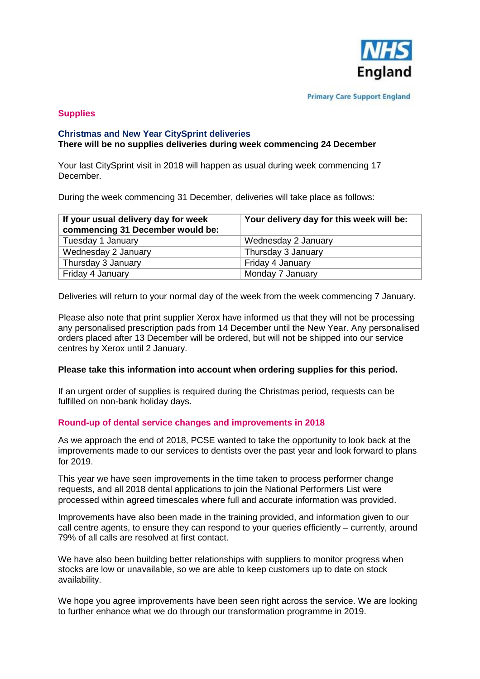

## **Supplies**

### <span id="page-1-0"></span>**Christmas and New Year CitySprint deliveries There will be no supplies deliveries during week commencing 24 December**

Your last CitySprint visit in 2018 will happen as usual during week commencing 17 December.

During the week commencing 31 December, deliveries will take place as follows:

| If your usual delivery day for week<br>commencing 31 December would be: | Your delivery day for this week will be: |
|-------------------------------------------------------------------------|------------------------------------------|
| Tuesday 1 January                                                       | Wednesday 2 January                      |
| Wednesday 2 January                                                     | Thursday 3 January                       |
| Thursday 3 January                                                      | Friday 4 January                         |
| Friday 4 January                                                        | Monday 7 January                         |

Deliveries will return to your normal day of the week from the week commencing 7 January.

Please also note that print supplier Xerox have informed us that they will not be processing any personalised prescription pads from 14 December until the New Year. Any personalised orders placed after 13 December will be ordered, but will not be shipped into our service centres by Xerox until 2 January.

#### **Please take this information into account when ordering supplies for this period.**

If an urgent order of supplies is required during the Christmas period, requests can be fulfilled on non-bank holiday days.

#### <span id="page-1-1"></span>**Round-up of dental service changes and improvements in 2018**

As we approach the end of 2018, PCSE wanted to take the opportunity to look back at the improvements made to our services to dentists over the past year and look forward to plans for 2019.

This year we have seen improvements in the time taken to process performer change requests, and all 2018 dental applications to join the National Performers List were processed within agreed timescales where full and accurate information was provided.

Improvements have also been made in the training provided, and information given to our call centre agents, to ensure they can respond to your queries efficiently – currently, around 79% of all calls are resolved at first contact.

We have also been building better relationships with suppliers to monitor progress when stocks are low or unavailable, so we are able to keep customers up to date on stock availability.

We hope you agree improvements have been seen right across the service. We are looking to further enhance what we do through our transformation programme in 2019.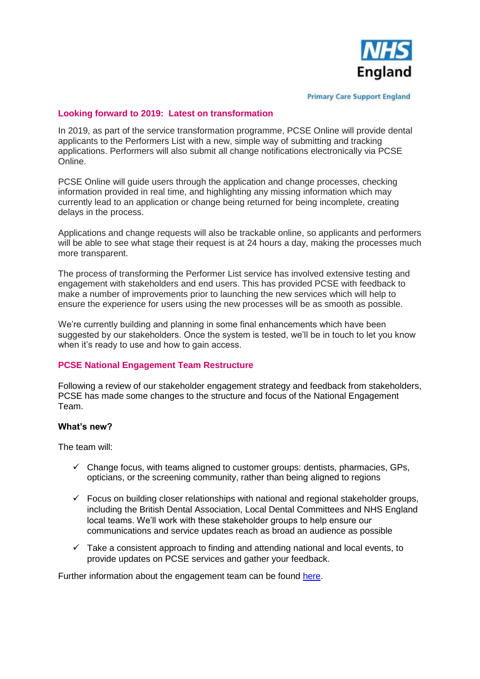

**Primary Care Support England** 

### <span id="page-2-0"></span>**Looking forward to 2019: Latest on transformation**

In 2019, as part of the service transformation programme, PCSE Online will provide dental applicants to the Performers List with a new, simple way of submitting and tracking applications. Performers will also submit all change notifications electronically via PCSE Online.

PCSE Online will guide users through the application and change processes, checking information provided in real time, and highlighting any missing information which may currently lead to an application or change being returned for being incomplete, creating delays in the process.

Applications and change requests will also be trackable online, so applicants and performers will be able to see what stage their request is at 24 hours a day, making the processes much more transparent.

The process of transforming the Performer List service has involved extensive testing and engagement with stakeholders and end users. This has provided PCSE with feedback to make a number of improvements prior to launching the new services which will help to ensure the experience for users using the new processes will be as smooth as possible.

We're currently building and planning in some final enhancements which have been suggested by our stakeholders. Once the system is tested, we'll be in touch to let you know when it's ready to use and how to gain access.

## <span id="page-2-1"></span>**PCSE National Engagement Team Restructure**

Following a review of our stakeholder engagement strategy and feedback from stakeholders, PCSE has made some changes to the structure and focus of the National Engagement Team.

### **What's new?**

The team will:

- $\checkmark$  Change focus, with teams aligned to customer groups: dentists, pharmacies, GPs, opticians, or the screening community, rather than being aligned to regions
- $\checkmark$  Focus on building closer relationships with national and regional stakeholder groups, including the British Dental Association, Local Dental Committees and NHS England local teams. We'll work with these stakeholder groups to help ensure our communications and service updates reach as broad an audience as possible
- $\checkmark$  Take a consistent approach to finding and attending national and local events, to provide updates on PCSE services and gather your feedback.

<span id="page-2-2"></span>Further information about the engagement team can be found [here.](https://pcse.england.nhs.uk/about/communication-and-engagement-team/)